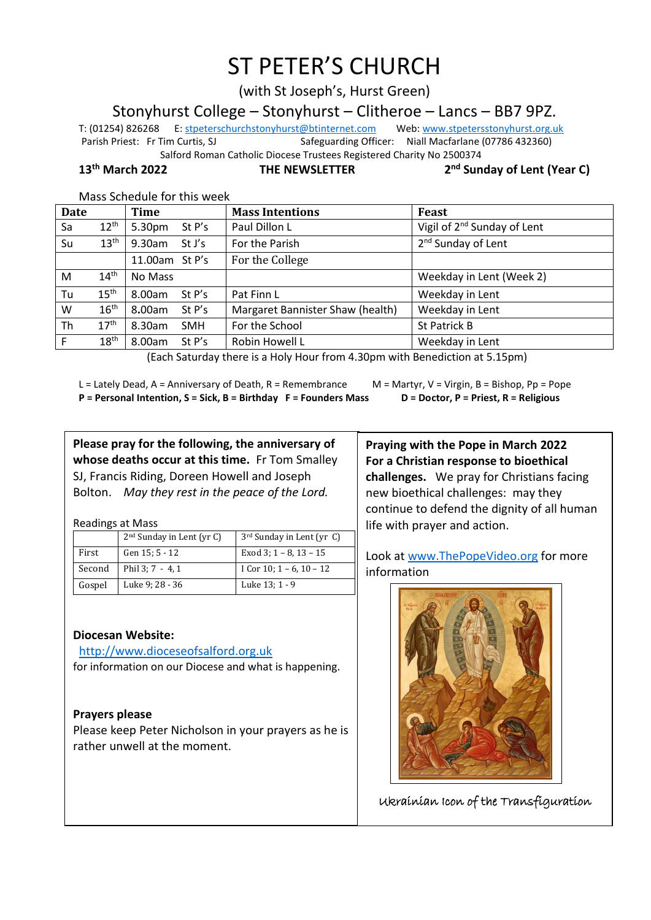# ST PETER'S CHURCH

(with St Joseph's, Hurst Green)

Stonyhurst College – Stonyhurst – Clitheroe – Lancs – BB7 9PZ.

T: (01254) 826268 E[: stpeterschurchstonyhurst@btinternet.com](mailto:stpeterschurchstonyhurst@btinternet.com) Web[: www.stpetersstonyhurst.org.uk](http://www.stpetersstonyhurst.org.uk/) Parish Priest: Fr Tim Curtis, SJ Safeguarding Officer: Niall Macfarlane (07786 432360) Salford Roman Catholic Diocese Trustees Registered Charity No 2500374

**13th March 2022 THE NEWSLETTER 2**

**nd Sunday of Lent (Year C)**

| Mass Schedule for this week |  |  |  |
|-----------------------------|--|--|--|
|-----------------------------|--|--|--|

| <b>Date</b> |                  | <b>Time</b>          | <b>Mass Intentions</b>           | Feast                                   |
|-------------|------------------|----------------------|----------------------------------|-----------------------------------------|
| Sa          | $12^{\text{th}}$ | 5.30pm<br>St P's     | Paul Dillon L                    | Vigil of 2 <sup>nd</sup> Sunday of Lent |
| Su          | 13 <sup>th</sup> | 9.30am<br>St J's     | For the Parish                   | 2 <sup>nd</sup> Sunday of Lent          |
|             |                  | 11.00am St P's       | For the College                  |                                         |
| M           | 14 <sup>th</sup> | No Mass              |                                  | Weekday in Lent (Week 2)                |
| Tu          | 15 <sup>th</sup> | 8.00am<br>St $P's$   | Pat Finn L                       | Weekday in Lent                         |
| W           | 16 <sup>th</sup> | St P's<br>8.00am     | Margaret Bannister Shaw (health) | Weekday in Lent                         |
| Th          | 17 <sup>th</sup> | 8.30am<br><b>SMH</b> | For the School                   | St Patrick B                            |
| F           | 18 <sup>th</sup> | 8.00am<br>St $P's$   | Robin Howell L                   | Weekday in Lent                         |

(Each Saturday there is a Holy Hour from 4.30pm with Benediction at 5.15pm)

L = Lately Dead, A = Anniversary of Death, R = Remembrance M = Martyr, V = Virgin, B = Bishop, Pp = Pope **P = Personal Intention, S = Sick, B = Birthday F = Founders Mass D = Doctor, P = Priest, R = Religious**

**Please pray for the following, the anniversary of whose deaths occur at this time.** Fr Tom Smalley SJ, Francis Riding, Doreen Howell and Joseph

Bolton. *May they rest in the peace of the Lord.*

Readings at Mass

|        | $2nd$ Sunday in Lent (yr C) | 3 <sup>rd</sup> Sunday in Lent (yr C) |
|--------|-----------------------------|---------------------------------------|
| First  | Gen 15: 5 - 12              | Exod 3: $1 - 8$ , $13 - 15$           |
| Second | Phil 3; 7 - 4, 1            | I Cor 10; $1 - 6$ , $10 - 12$         |
| Gospel | Luke 9; 28 - 36             | Luke 13; 1 - 9                        |

**Diocesan Website:**

http://www.dioceseofsalford.org.uk for information on our Diocese and what is happening.

# **Prayers please**

Please keep Peter Nicholson in your prayers as he is rather unwell at the moment.

**Praying with the Pope in March 2022 For a Christian response to bioethical challenges.** We pray for Christians facing new bioethical challenges: may they continue to defend the dignity of all human life with prayer and action.

Look at www.ThePopeVideo.org for more information



Ukrainian Icon of the Transfiguration

 $\overline{a}$